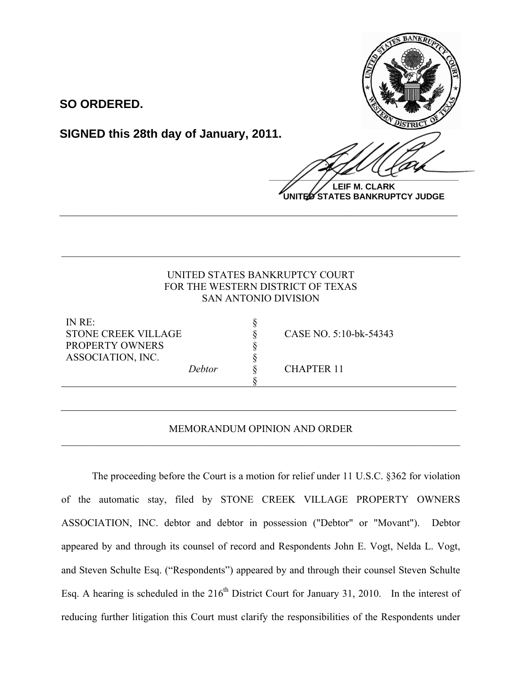

**SO ORDERED.**

**SIGNED this 28th day of January, 2011.**

**LEIF M. CLARK UNITED STATES BANKRUPTCY JUDGE**

# UNITED STATES BANKRUPTCY COURT FOR THE WESTERN DISTRICT OF TEXAS SAN ANTONIO DIVISION

§ § § § §

§

 $\mathcal{L}_\mathcal{L} = \{ \mathcal{L}_\mathcal{L} = \{ \mathcal{L}_\mathcal{L} = \{ \mathcal{L}_\mathcal{L} = \{ \mathcal{L}_\mathcal{L} = \{ \mathcal{L}_\mathcal{L} = \{ \mathcal{L}_\mathcal{L} = \{ \mathcal{L}_\mathcal{L} = \{ \mathcal{L}_\mathcal{L} = \{ \mathcal{L}_\mathcal{L} = \{ \mathcal{L}_\mathcal{L} = \{ \mathcal{L}_\mathcal{L} = \{ \mathcal{L}_\mathcal{L} = \{ \mathcal{L}_\mathcal{L} = \{ \mathcal{L}_\mathcal{$ 

**\_\_\_\_\_\_\_\_\_\_\_\_\_\_\_\_\_\_\_\_\_\_\_\_\_\_\_\_\_\_\_\_\_\_\_\_\_\_\_\_\_\_\_\_\_\_\_\_\_\_\_\_\_\_\_\_\_\_\_\_**

IN RE: STONE CREEK VILLAGE PROPERTY OWNERS ASSOCIATION, INC.

*Debtor*

CASE NO. 5:10-bk-54343

CHAPTER 11

## MEMORANDUM OPINION AND ORDER  $\mathcal{L}_\mathcal{L} = \{ \mathcal{L}_\mathcal{L} = \{ \mathcal{L}_\mathcal{L} = \{ \mathcal{L}_\mathcal{L} = \{ \mathcal{L}_\mathcal{L} = \{ \mathcal{L}_\mathcal{L} = \{ \mathcal{L}_\mathcal{L} = \{ \mathcal{L}_\mathcal{L} = \{ \mathcal{L}_\mathcal{L} = \{ \mathcal{L}_\mathcal{L} = \{ \mathcal{L}_\mathcal{L} = \{ \mathcal{L}_\mathcal{L} = \{ \mathcal{L}_\mathcal{L} = \{ \mathcal{L}_\mathcal{L} = \{ \mathcal{L}_\mathcal{$

The proceeding before the Court is a motion for relief under 11 U.S.C. §362 for violation of the automatic stay, filed by STONE CREEK VILLAGE PROPERTY OWNERS ASSOCIATION, INC. debtor and debtor in possession ("Debtor" or "Movant"). Debtor appeared by and through its counsel of record and Respondents John E. Vogt, Nelda L. Vogt, and Steven Schulte Esq. ("Respondents") appeared by and through their counsel Steven Schulte Esq. A hearing is scheduled in the  $216<sup>th</sup>$  District Court for January 31, 2010. In the interest of reducing further litigation this Court must clarify the responsibilities of the Respondents under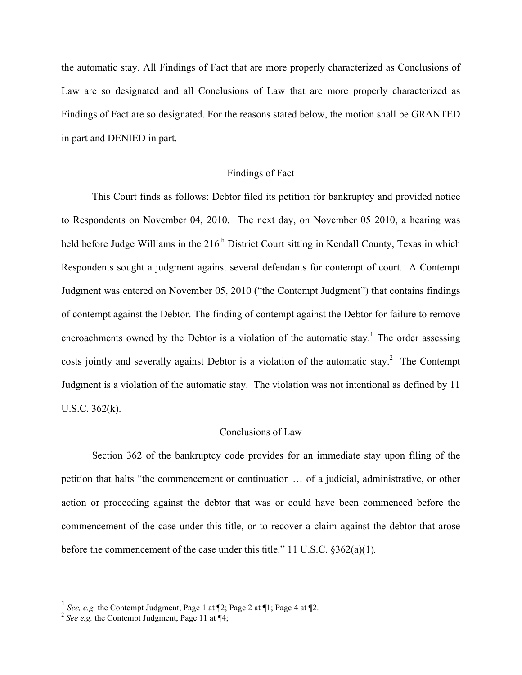the automatic stay. All Findings of Fact that are more properly characterized as Conclusions of Law are so designated and all Conclusions of Law that are more properly characterized as Findings of Fact are so designated. For the reasons stated below, the motion shall be GRANTED in part and DENIED in part.

#### Findings of Fact

This Court finds as follows: Debtor filed its petition for bankruptcy and provided notice to Respondents on November 04, 2010. The next day, on November 05 2010, a hearing was held before Judge Williams in the  $216<sup>th</sup>$  District Court sitting in Kendall County, Texas in which Respondents sought a judgment against several defendants for contempt of court. A Contempt Judgment was entered on November 05, 2010 ("the Contempt Judgment") that contains findings of contempt against the Debtor. The finding of contempt against the Debtor for failure to remove encroachments owned by the Debtor is a violation of the automatic stay.<sup>1</sup> The order assessing costs jointly and severally against Debtor is a violation of the automatic stay.<sup>2</sup> The Contempt Judgment is a violation of the automatic stay. The violation was not intentional as defined by 11 U.S.C. 362(k).

#### Conclusions of Law

Section 362 of the bankruptcy code provides for an immediate stay upon filing of the petition that halts "the commencement or continuation … of a judicial, administrative, or other action or proceeding against the debtor that was or could have been commenced before the commencement of the case under this title, or to recover a claim against the debtor that arose before the commencement of the case under this title." 11 U.S.C. §362(a)(1)*.*

!!!!!!!!!!!!!!!!!!!!!!!!!!!!!!!!!!!!!!!!!!!!!!!!!!!!!!!!!!!!

<sup>&</sup>lt;sup>1</sup> *See, e.g.* the Contempt Judgment, Page 1 at  $\mathbb{Z}$ ; Page 2 at  $\mathbb{Z}$ 1; Page 4 at  $\mathbb{Z}$ .

 $2^{2}$  *See e.g.* the Contempt Judgment, Page 11 at  $\P 4$ ;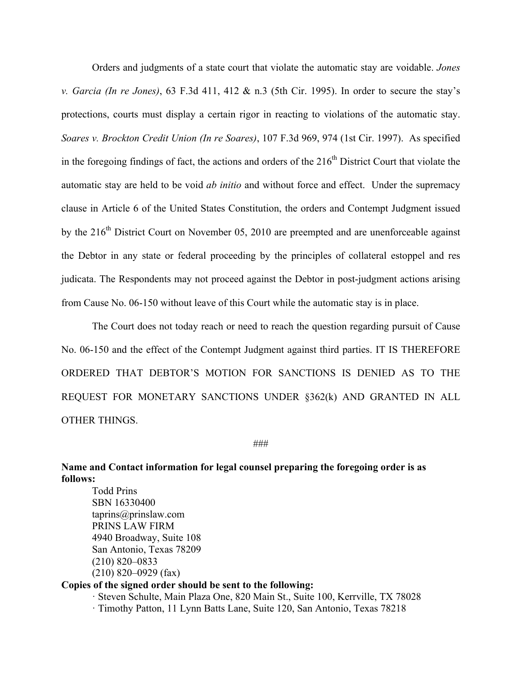Orders and judgments of a state court that violate the automatic stay are voidable. *Jones v. Garcia (In re Jones)*, 63 F.3d 411, 412 & n.3 (5th Cir. 1995). In order to secure the stay's protections, courts must display a certain rigor in reacting to violations of the automatic stay. *Soares v. Brockton Credit Union (In re Soares)*, 107 F.3d 969, 974 (1st Cir. 1997). As specified in the foregoing findings of fact, the actions and orders of the  $216<sup>th</sup>$  District Court that violate the automatic stay are held to be void *ab initio* and without force and effect. Under the supremacy clause in Article 6 of the United States Constitution, the orders and Contempt Judgment issued by the  $216<sup>th</sup>$  District Court on November 05, 2010 are preempted and are unenforceable against the Debtor in any state or federal proceeding by the principles of collateral estoppel and res judicata. The Respondents may not proceed against the Debtor in post-judgment actions arising from Cause No. 06-150 without leave of this Court while the automatic stay is in place.

The Court does not today reach or need to reach the question regarding pursuit of Cause No. 06-150 and the effect of the Contempt Judgment against third parties. IT IS THEREFORE ORDERED THAT DEBTOR'S MOTION FOR SANCTIONS IS DENIED AS TO THE REQUEST FOR MONETARY SANCTIONS UNDER §362(k) AND GRANTED IN ALL OTHER THINGS.

###

**Name and Contact information for legal counsel preparing the foregoing order is as follows:**

Todd Prins SBN 16330400 taprins@prinslaw.com PRINS LAW FIRM 4940 Broadway, Suite 108 San Antonio, Texas 78209 (210) 820–0833 (210) 820–0929 (fax)

## **Copies of the signed order should be sent to the following:**

· Steven Schulte, Main Plaza One, 820 Main St., Suite 100, Kerrville, TX 78028 · Timothy Patton, 11 Lynn Batts Lane, Suite 120, San Antonio, Texas 78218